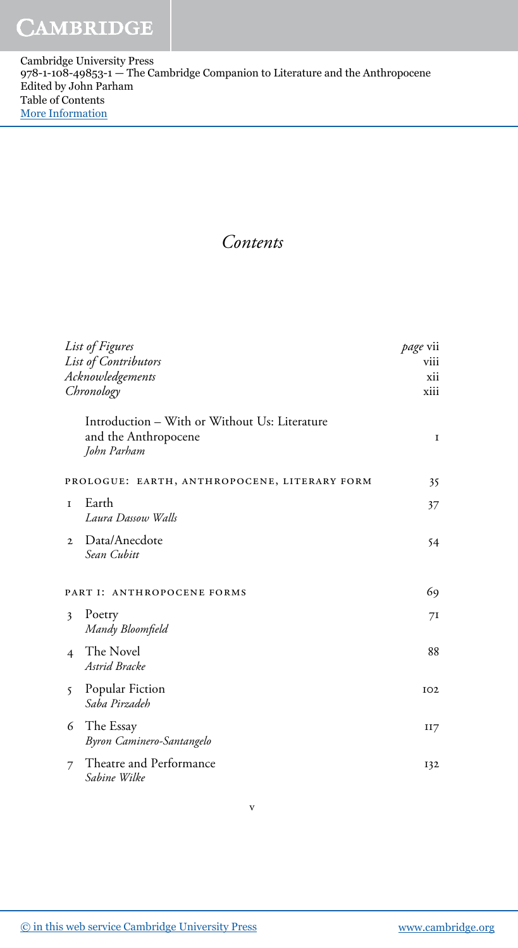Cambridge University Press 978-1-108-49853-1 — The Cambridge Companion to Literature and the Anthropocene Edited by John Parham Table of Contents [More Information](www.cambridge.org/9781108498531)

Contents

| List of Figures      |                                                                                      | <i>page</i> vii |
|----------------------|--------------------------------------------------------------------------------------|-----------------|
| List of Contributors |                                                                                      | viii            |
| Acknowledgements     |                                                                                      | xii             |
|                      | Chronology                                                                           |                 |
|                      | Introduction - With or Without Us: Literature<br>and the Anthropocene<br>John Parham | $\mathbf I$     |
|                      | PROLOGUE: EARTH, ANTHROPOCENE, LITERARY FORM                                         | 35              |
| T                    | Earth<br>Laura Dassow Walls                                                          | 37              |
| $\mathbf{2}$         | Data/Anecdote<br>Sean Cubitt                                                         | 54              |
|                      | PART I: ANTHROPOCENE FORMS                                                           | 69              |
| 3                    | Poetry<br>Mandy Bloomfield                                                           | 71              |
| $\overline{4}$       | The Novel<br>Astrid Bracke                                                           | 88              |
| 5                    | Popular Fiction<br>Saba Pirzadeh                                                     | IO2             |
| 6                    | The Essay<br>Byron Caminero-Santangelo                                               | II7             |
| 7                    | Theatre and Performance<br>Sabine Wilke                                              | 132             |
|                      |                                                                                      |                 |

v